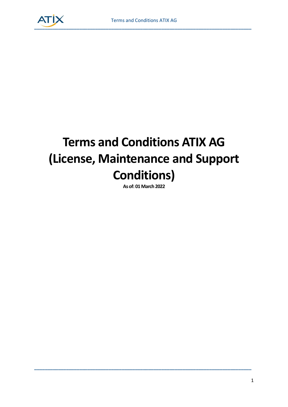

# **Terms and Conditions ATIX AG (License, Maintenance and Support Conditions)**

**As of: 01 March 2022**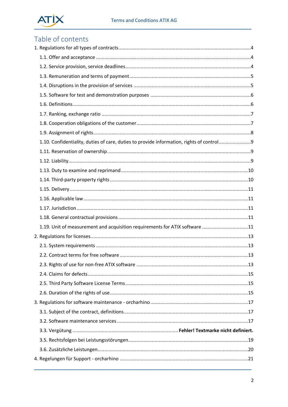

## Table of contents

| 1.10. Confidentiality, duties of care, duties to provide information, rights of control |  |
|-----------------------------------------------------------------------------------------|--|
|                                                                                         |  |
|                                                                                         |  |
|                                                                                         |  |
|                                                                                         |  |
|                                                                                         |  |
|                                                                                         |  |
|                                                                                         |  |
|                                                                                         |  |
| 1.19. Unit of measurement and acquisition requirements for ATIX software 11             |  |
|                                                                                         |  |
|                                                                                         |  |
|                                                                                         |  |
|                                                                                         |  |
|                                                                                         |  |
|                                                                                         |  |
|                                                                                         |  |
|                                                                                         |  |
|                                                                                         |  |
|                                                                                         |  |
|                                                                                         |  |
|                                                                                         |  |
|                                                                                         |  |
|                                                                                         |  |
|                                                                                         |  |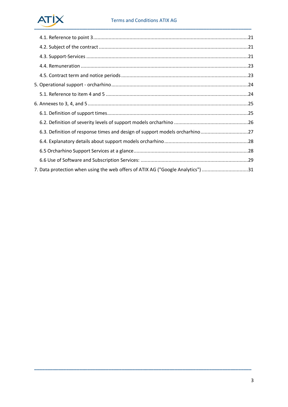## **ATİX**

| 7. Data protection when using the web offers of ATIX AG ("Google Analytics") 31 |  |
|---------------------------------------------------------------------------------|--|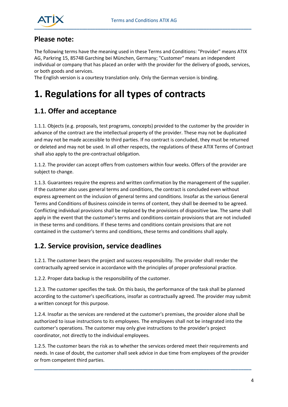

#### **Please note:**

The following terms have the meaning used in these Terms and Conditions: "Provider" means ATIX AG, Parkring 15, 85748 Garching bei München, Germany; "Customer" means an independent individual or company that has placed an order with the provider for the delivery of goods, services, or both goods and services.

The English version is a courtesy translation only. Only the German version is binding.

## <span id="page-3-0"></span>**1. Regulations for all types of contracts**

### <span id="page-3-1"></span>**1.1. Offer and acceptance**

1.1.1. Objects (e.g. proposals, test programs, concepts) provided to the customer by the provider in advance of the contract are the intellectual property of the provider. These may not be duplicated and may not be made accessible to third parties. If no contract is concluded, they must be returned or deleted and may not be used. In all other respects, the regulations of these ATIX Terms of Contract shall also apply to the pre-contractual obligation.

1.1.2. The provider can accept offers from customers within four weeks. Offers of the provider are subject to change.

1.1.3. Guarantees require the express and written confirmation by the management of the supplier. If the customer also uses general terms and conditions, the contract is concluded even without express agreement on the inclusion of general terms and conditions. Insofar as the various General Terms and Conditions of Business coincide in terms of content, they shall be deemed to be agreed. Conflicting individual provisions shall be replaced by the provisions of dispositive law. The same shall apply in the event that the customer's terms and conditions contain provisions that are not included in these terms and conditions. If these terms and conditions contain provisions that are not contained in the customer's terms and conditions, these terms and conditions shall apply.

#### <span id="page-3-2"></span>**1.2. Service provision, service deadlines**

1.2.1. The customer bears the project and success responsibility. The provider shall render the contractually agreed service in accordance with the principles of proper professional practice.

1.2.2. Proper data backup is the responsibility of the customer.

1.2.3. The customer specifies the task. On this basis, the performance of the task shall be planned according to the customer's specifications, insofar as contractually agreed. The provider may submit a written concept for this purpose.

1.2.4. Insofar as the services are rendered at the customer's premises, the provider alone shall be authorized to issue instructions to its employees. The employees shall not be integrated into the customer's operations. The customer may only give instructions to the provider's project coordinator, not directly to the individual employees.

1.2.5. The customer bears the risk as to whether the services ordered meet their requirements and needs. In case of doubt, the customer shall seek advice in due time from employees of the provider or from competent third parties.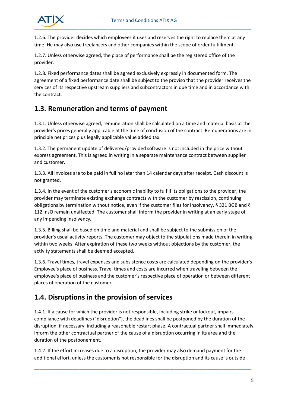

1.2.6. The provider decides which employees it uses and reserves the right to replace them at any time. He may also use freelancers and other companies within the scope of order fulfillment.

1.2.7. Unless otherwise agreed, the place of performance shall be the registered office of the provider.

1.2.8. Fixed performance dates shall be agreed exclusively expressly in documented form. The agreement of a fixed performance date shall be subject to the proviso that the provider receives the services of its respective upstream suppliers and subcontractors in due time and in accordance with the contract.

#### <span id="page-4-0"></span>**1.3. Remuneration and terms of payment**

1.3.1. Unless otherwise agreed, remuneration shall be calculated on a time and material basis at the provider's prices generally applicable at the time of conclusion of the contract. Remunerations are in principle net prices plus legally applicable value added tax.

1.3.2. The permanent update of delivered/provided software is not included in the price without express agreement. This is agreed in writing in a separate maintenance contract between supplier and customer.

1.3.3. All invoices are to be paid in full no later than 14 calendar days after receipt. Cash discount is not granted.

1.3.4. In the event of the customer's economic inability to fulfill its obligations to the provider, the provider may terminate existing exchange contracts with the customer by rescission, continuing obligations by termination without notice, even if the customer files for insolvency. § 321 BGB and § 112 InsO remain unaffected. The customer shall inform the provider in writing at an early stage of any impending insolvency.

1.3.5. Billing shall be based on time and material and shall be subject to the submission of the provider's usual activity reports. The customer may object to the stipulations made therein in writing within two weeks. After expiration of these two weeks without objections by the customer, the activity statements shall be deemed accepted.

1.3.6. Travel times, travel expenses and subsistence costs are calculated depending on the provider's Employee's place of business. Travel times and costs are incurred when traveling between the employee's place of business and the customer's respective place of operation or between different places of operation of the customer.

### <span id="page-4-1"></span>**1.4. Disruptions in the provision of services**

1.4.1. If a cause for which the provider is not responsible, including strike or lockout, impairs compliance with deadlines ("disruption"), the deadlines shall be postponed by the duration of the disruption, if necessary, including a reasonable restart phase. A contractual partner shall immediately inform the other contractual partner of the cause of a disruption occurring in its area and the duration of the postponement.

1.4.2. If the effort increases due to a disruption, the provider may also demand payment for the additional effort, unless the customer is not responsible for the disruption and its cause is outside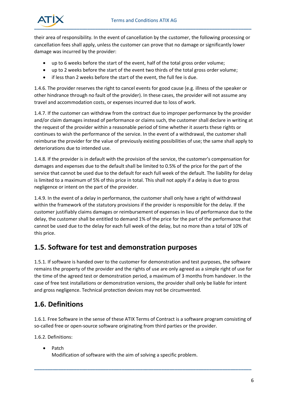

their area of responsibility. In the event of cancellation by the customer, the following processing or cancellation fees shall apply, unless the customer can prove that no damage or significantly lower damage was incurred by the provider:

- up to 6 weeks before the start of the event, half of the total gross order volume;
- up to 2 weeks before the start of the event two thirds of the total gross order volume;
- if less than 2 weeks before the start of the event, the full fee is due.

1.4.6. The provider reserves the right to cancel events for good cause (e.g. illness of the speaker or other hindrance through no fault of the provider). In these cases, the provider will not assume any travel and accommodation costs, or expenses incurred due to loss of work.

1.4.7. If the customer can withdraw from the contract due to improper performance by the provider and/or claim damages instead of performance or claims such, the customer shall declare in writing at the request of the provider within a reasonable period of time whether it asserts these rights or continues to wish the performance of the service. In the event of a withdrawal, the customer shall reimburse the provider for the value of previously existing possibilities of use; the same shall apply to deteriorations due to intended use.

1.4.8. If the provider is in default with the provision of the service, the customer's compensation for damages and expenses due to the default shall be limited to 0.5% of the price for the part of the service that cannot be used due to the default for each full week of the default. The liability for delay is limited to a maximum of 5% of this price in total. This shall not apply if a delay is due to gross negligence or intent on the part of the provider.

1.4.9. In the event of a delay in performance, the customer shall only have a right of withdrawal within the framework of the statutory provisions if the provider is responsible for the delay. If the customer justifiably claims damages or reimbursement of expenses in lieu of performance due to the delay, the customer shall be entitled to demand 1% of the price for the part of the performance that cannot be used due to the delay for each full week of the delay, but no more than a total of 10% of this price.

#### <span id="page-5-0"></span>**1.5. Software for test and demonstration purposes**

1.5.1. If software is handed over to the customer for demonstration and test purposes, the software remains the property of the provider and the rights of use are only agreed as a simple right of use for the time of the agreed test or demonstration period, a maximum of 3 months from handover. In the case of free test installations or demonstration versions, the provider shall only be liable for intent and gross negligence. Technical protection devices may not be circumvented.

### <span id="page-5-1"></span>**1.6. Definitions**

1.6.1. Free Software in the sense of these ATIX Terms of Contract is a software program consisting of so-called free or open-source software originating from third parties or the provider.

**\_\_\_\_\_\_\_\_\_\_\_\_\_\_\_\_\_\_\_\_\_\_\_\_\_\_\_\_\_\_\_\_\_\_\_\_\_\_\_\_\_\_\_\_\_\_\_\_\_\_\_\_\_\_\_\_\_\_\_\_\_\_\_\_\_\_\_\_\_\_\_\_\_\_\_\_\_\_\_\_\_\_**

1.6.2. Definitions:

• Patch

Modification of software with the aim of solving a specific problem.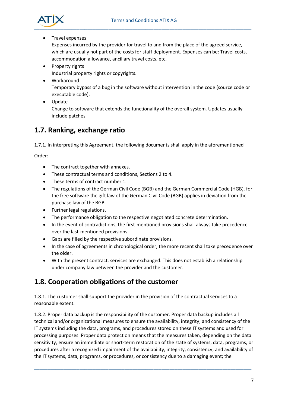

• Travel expenses

Expenses incurred by the provider for travel to and from the place of the agreed service, which are usually not part of the costs for staff deployment. Expenses can be: Travel costs, accommodation allowance, ancillary travel costs, etc.

- Property rights Industrial property rights or copyrights.
- Workaround

Temporary bypass of a bug in the software without intervention in the code (source code or executable code).

• Update

Change to software that extends the functionality of the overall system. Updates usually include patches.

### <span id="page-6-0"></span>**1.7. Ranking, exchange ratio**

1.7.1. In interpreting this Agreement, the following documents shall apply in the aforementioned

Order:

- The contract together with annexes.
- These contractual terms and conditions, Sections 2 to 4.
- These terms of contract number 1.
- The regulations of the German Civil Code (BGB) and the German Commercial Code (HGB), for the free software the gift law of the German Civil Code (BGB) applies in deviation from the purchase law of the BGB.
- Further legal regulations.
- The performance obligation to the respective negotiated concrete determination.
- In the event of contradictions, the first-mentioned provisions shall always take precedence over the last-mentioned provisions.
- Gaps are filled by the respective subordinate provisions.
- In the case of agreements in chronological order, the more recent shall take precedence over the older.
- With the present contract, services are exchanged. This does not establish a relationship under company law between the provider and the customer.

### <span id="page-6-1"></span>**1.8. Cooperation obligations of the customer**

1.8.1. The customer shall support the provider in the provision of the contractual services to a reasonable extent.

1.8.2. Proper data backup is the responsibility of the customer. Proper data backup includes all technical and/or organizational measures to ensure the availability, integrity, and consistency of the IT systems including the data, programs, and procedures stored on these IT systems and used for processing purposes. Proper data protection means that the measures taken, depending on the data sensitivity, ensure an immediate or short-term restoration of the state of systems, data, programs, or procedures after a recognized impairment of the availability, integrity, consistency, and availability of the IT systems, data, programs, or procedures, or consistency due to a damaging event; the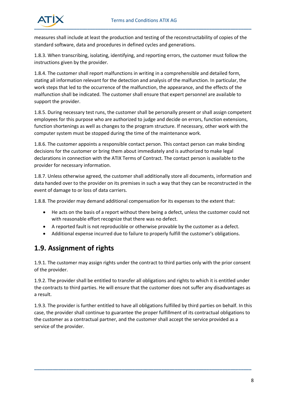

measures shall include at least the production and testing of the reconstructability of copies of the standard software, data and procedures in defined cycles and generations.

1.8.3. When transcribing, isolating, identifying, and reporting errors, the customer must follow the instructions given by the provider.

1.8.4. The customer shall report malfunctions in writing in a comprehensible and detailed form, stating all information relevant for the detection and analysis of the malfunction. In particular, the work steps that led to the occurrence of the malfunction, the appearance, and the effects of the malfunction shall be indicated. The customer shall ensure that expert personnel are available to support the provider.

1.8.5. During necessary test runs, the customer shall be personally present or shall assign competent employees for this purpose who are authorized to judge and decide on errors, function extensions, function shortenings as well as changes to the program structure. If necessary, other work with the computer system must be stopped during the time of the maintenance work.

1.8.6. The customer appoints a responsible contact person. This contact person can make binding decisions for the customer or bring them about immediately and is authorized to make legal declarations in connection with the ATIX Terms of Contract. The contact person is available to the provider for necessary information.

1.8.7. Unless otherwise agreed, the customer shall additionally store all documents, information and data handed over to the provider on its premises in such a way that they can be reconstructed in the event of damage to or loss of data carriers.

1.8.8. The provider may demand additional compensation for its expenses to the extent that:

- He acts on the basis of a report without there being a defect, unless the customer could not with reasonable effort recognize that there was no defect.
- A reported fault is not reproducible or otherwise provable by the customer as a defect.
- Additional expense incurred due to failure to properly fulfill the customer's obligations.

### <span id="page-7-0"></span>**1.9. Assignment of rights**

1.9.1. The customer may assign rights under the contract to third parties only with the prior consent of the provider.

1.9.2. The provider shall be entitled to transfer all obligations and rights to which it is entitled under the contracts to third parties. He will ensure that the customer does not suffer any disadvantages as a result.

1.9.3. The provider is further entitled to have all obligations fulfilled by third parties on behalf. In this case, the provider shall continue to guarantee the proper fulfillment of its contractual obligations to the customer as a contractual partner, and the customer shall accept the service provided as a service of the provider.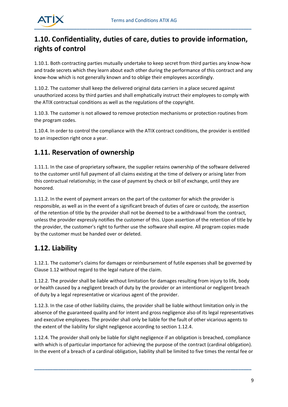

## <span id="page-8-0"></span>**1.10. Confidentiality, duties of care, duties to provide information, rights of control**

1.10.1. Both contracting parties mutually undertake to keep secret from third parties any know-how and trade secrets which they learn about each other during the performance of this contract and any know-how which is not generally known and to oblige their employees accordingly.

1.10.2. The customer shall keep the delivered original data carriers in a place secured against unauthorized access by third parties and shall emphatically instruct their employees to comply with the ATIX contractual conditions as well as the regulations of the copyright.

1.10.3. The customer is not allowed to remove protection mechanisms or protection routines from the program codes.

1.10.4. In order to control the compliance with the ATIX contract conditions, the provider is entitled to an inspection right once a year.

### <span id="page-8-1"></span>**1.11. Reservation of ownership**

1.11.1. In the case of proprietary software, the supplier retains ownership of the software delivered to the customer until full payment of all claims existing at the time of delivery or arising later from this contractual relationship; in the case of payment by check or bill of exchange, until they are honored.

1.11.2. In the event of payment arrears on the part of the customer for which the provider is responsible, as well as in the event of a significant breach of duties of care or custody, the assertion of the retention of title by the provider shall not be deemed to be a withdrawal from the contract, unless the provider expressly notifies the customer of this. Upon assertion of the retention of title by the provider, the customer's right to further use the software shall expire. All program copies made by the customer must be handed over or deleted.

## <span id="page-8-2"></span>**1.12. Liability**

1.12.1. The customer's claims for damages or reimbursement of futile expenses shall be governed by Clause 1.12 without regard to the legal nature of the claim.

1.12.2. The provider shall be liable without limitation for damages resulting from injury to life, body or health caused by a negligent breach of duty by the provider or an intentional or negligent breach of duty by a legal representative or vicarious agent of the provider.

1.12.3. In the case of other liability claims, the provider shall be liable without limitation only in the absence of the guaranteed quality and for intent and gross negligence also of its legal representatives and executive employees. The provider shall only be liable for the fault of other vicarious agents to the extent of the liability for slight negligence according to section 1.12.4.

1.12.4. The provider shall only be liable for slight negligence if an obligation is breached, compliance with which is of particular importance for achieving the purpose of the contract (cardinal obligation). In the event of a breach of a cardinal obligation, liability shall be limited to five times the rental fee or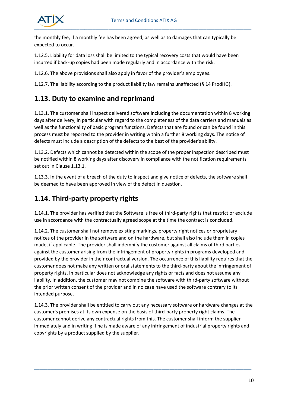

the monthly fee, if a monthly fee has been agreed, as well as to damages that can typically be expected to occur.

1.12.5. Liability for data loss shall be limited to the typical recovery costs that would have been incurred if back-up copies had been made regularly and in accordance with the risk.

1.12.6. The above provisions shall also apply in favor of the provider's employees.

1.12.7. The liability according to the product liability law remains unaffected (§ 14 ProdHG).

#### <span id="page-9-0"></span>**1.13. Duty to examine and reprimand**

1.13.1. The customer shall inspect delivered software including the documentation within 8 working days after delivery, in particular with regard to the completeness of the data carriers and manuals as well as the functionality of basic program functions. Defects that are found or can be found in this process must be reported to the provider in writing within a further 8 working days. The notice of defects must include a description of the defects to the best of the provider's ability.

1.13.2. Defects which cannot be detected within the scope of the proper inspection described must be notified within 8 working days after discovery in compliance with the notification requirements set out in Clause 1.13.1.

1.13.3. In the event of a breach of the duty to inspect and give notice of defects, the software shall be deemed to have been approved in view of the defect in question.

### <span id="page-9-1"></span>**1.14. Third-party property rights**

1.14.1. The provider has verified that the Software is free of third-party rights that restrict or exclude use in accordance with the contractually agreed scope at the time the contract is concluded.

1.14.2. The customer shall not remove existing markings, property right notices or proprietary notices of the provider in the software and on the hardware, but shall also include them in copies made, if applicable. The provider shall indemnify the customer against all claims of third parties against the customer arising from the infringement of property rights in programs developed and provided by the provider in their contractual version. The occurrence of this liability requires that the customer does not make any written or oral statements to the third-party about the infringement of property rights, in particular does not acknowledge any rights or facts and does not assume any liability. In addition, the customer may not combine the software with third-party software without the prior written consent of the provider and in no case have used the software contrary to its intended purpose.

1.14.3. The provider shall be entitled to carry out any necessary software or hardware changes at the customer's premises at its own expense on the basis of third-party property right claims. The customer cannot derive any contractual rights from this. The customer shall inform the supplier immediately and in writing if he is made aware of any infringement of industrial property rights and copyrights by a product supplied by the supplier.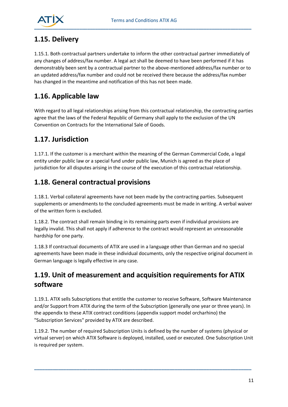

### <span id="page-10-0"></span>**1.15. Delivery**

1.15.1. Both contractual partners undertake to inform the other contractual partner immediately of any changes of address/fax number. A legal act shall be deemed to have been performed if it has demonstrably been sent by a contractual partner to the above-mentioned address/fax number or to an updated address/fax number and could not be received there because the address/fax number has changed in the meantime and notification of this has not been made.

### <span id="page-10-1"></span>**1.16. Applicable law**

With regard to all legal relationships arising from this contractual relationship, the contracting parties agree that the laws of the Federal Republic of Germany shall apply to the exclusion of the UN Convention on Contracts for the International Sale of Goods.

### <span id="page-10-2"></span>**1.17. Jurisdiction**

1.17.1. If the customer is a merchant within the meaning of the German Commercial Code, a legal entity under public law or a special fund under public law, Munich is agreed as the place of jurisdiction for all disputes arising in the course of the execution of this contractual relationship.

### <span id="page-10-3"></span>**1.18. General contractual provisions**

1.18.1. Verbal collateral agreements have not been made by the contracting parties. Subsequent supplements or amendments to the concluded agreements must be made in writing. A verbal waiver of the written form is excluded.

1.18.2. The contract shall remain binding in its remaining parts even if individual provisions are legally invalid. This shall not apply if adherence to the contract would represent an unreasonable hardship for one party.

1.18.3 If contractual documents of ATIX are used in a language other than German and no special agreements have been made in these individual documents, only the respective original document in German language is legally effective in any case.

## <span id="page-10-4"></span>**1.19. Unit of measurement and acquisition requirements for ATIX software**

1.19.1. ATIX sells Subscriptions that entitle the customer to receive Software, Software Maintenance and/or Support from ATIX during the term of the Subscription (generally one year or three years). In the appendix to these ATIX contract conditions (appendix support model orcharhino) the "Subscription Services" provided by ATIX are described.

1.19.2. The number of required Subscription Units is defined by the number of systems (physical or virtual server) on which ATIX Software is deployed, installed, used or executed. One Subscription Unit is required per system.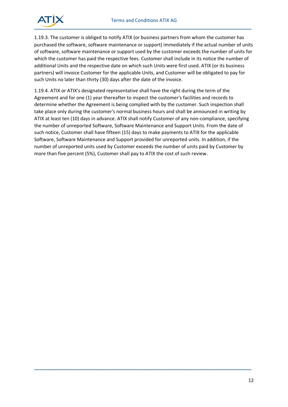

1.19.3. The customer is obliged to notify ATIX (or business partners from whom the customer has purchased the software, software maintenance or support) immediately if the actual number of units of software, software maintenance or support used by the customer exceeds the number of units for which the customer has paid the respective fees. Customer shall include in its notice the number of additional Units and the respective date on which such Units were first used. ATIX (or its business partners) will invoice Customer for the applicable Units, and Customer will be obligated to pay for such Units no later than thirty (30) days after the date of the invoice.

1.19.4. ATIX or ATIX's designated representative shall have the right during the term of the Agreement and for one (1) year thereafter to inspect the customer's facilities and records to determine whether the Agreement is being complied with by the customer. Such inspection shall take place only during the customer's normal business hours and shall be announced in writing by ATIX at least ten (10) days in advance. ATIX shall notify Customer of any non-compliance, specifying the number of unreported Software, Software Maintenance and Support Units. From the date of such notice, Customer shall have fifteen (15) days to make payments to ATIX for the applicable Software, Software Maintenance and Support provided for unreported units. In addition, if the number of unreported units used by Customer exceeds the number of units paid by Customer by more than five percent (5%), Customer shall pay to ATIX the cost of such review.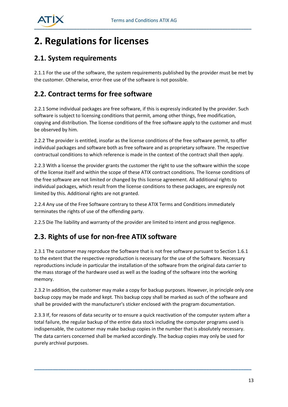

## <span id="page-12-0"></span>**2. Regulations for licenses**

#### <span id="page-12-1"></span>**2.1. System requirements**

2.1.1 For the use of the software, the system requirements published by the provider must be met by the customer. Otherwise, error-free use of the software is not possible.

### <span id="page-12-2"></span>**2.2. Contract terms for free software**

2.2.1 Some individual packages are free software, if this is expressly indicated by the provider. Such software is subject to licensing conditions that permit, among other things, free modification, copying and distribution. The license conditions of the free software apply to the customer and must be observed by him.

2.2.2 The provider is entitled, insofar as the license conditions of the free software permit, to offer individual packages and software both as free software and as proprietary software. The respective contractual conditions to which reference is made in the context of the contract shall then apply.

2.2.3 With a license the provider grants the customer the right to use the software within the scope of the license itself and within the scope of these ATIX contract conditions. The license conditions of the free software are not limited or changed by this license agreement. All additional rights to individual packages, which result from the license conditions to these packages, are expressly not limited by this. Additional rights are not granted.

2.2.4 Any use of the Free Software contrary to these ATIX Terms and Conditions immediately terminates the rights of use of the offending party.

2.2.5 Die The liability and warranty of the provider are limited to intent and gross negligence.

### <span id="page-12-3"></span>**2.3. Rights of use for non-free ATIX software**

2.3.1 The customer may reproduce the Software that is not free software pursuant to Section 1.6.1 to the extent that the respective reproduction is necessary for the use of the Software. Necessary reproductions include in particular the installation of the software from the original data carrier to the mass storage of the hardware used as well as the loading of the software into the working memory.

2.3.2 In addition, the customer may make a copy for backup purposes. However, in principle only one backup copy may be made and kept. This backup copy shall be marked as such of the software and shall be provided with the manufacturer's sticker enclosed with the program documentation.

2.3.3 If, for reasons of data security or to ensure a quick reactivation of the computer system after a total failure, the regular backup of the entire data stock including the computer programs used is indispensable, the customer may make backup copies in the number that is absolutely necessary. The data carriers concerned shall be marked accordingly. The backup copies may only be used for purely archival purposes.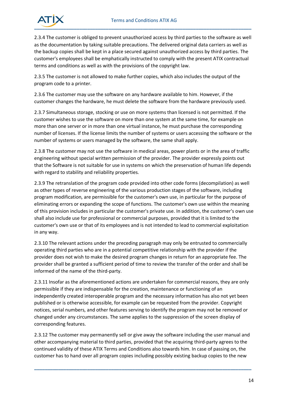

2.3.4 The customer is obliged to prevent unauthorized access by third parties to the software as well as the documentation by taking suitable precautions. The delivered original data carriers as well as the backup copies shall be kept in a place secured against unauthorized access by third parties. The customer's employees shall be emphatically instructed to comply with the present ATIX contractual terms and conditions as well as with the provisions of the copyright law.

2.3.5 The customer is not allowed to make further copies, which also includes the output of the program code to a printer.

2.3.6 The customer may use the software on any hardware available to him. However, if the customer changes the hardware, he must delete the software from the hardware previously used.

2.3.7 Simultaneous storage, stocking or use on more systems than licensed is not permitted. If the customer wishes to use the software on more than one system at the same time, for example on more than one server or in more than one virtual instance, he must purchase the corresponding number of licenses. If the license limits the number of systems or users accessing the software or the number of systems or users managed by the software, the same shall apply.

2.3.8 The customer may not use the software in medical areas, power plants or in the area of traffic engineering without special written permission of the provider. The provider expressly points out that the Software is not suitable for use in systems on which the preservation of human life depends with regard to stability and reliability properties.

2.3.9 The retranslation of the program code provided into other code forms (decompilation) as well as other types of reverse engineering of the various production stages of the software, including program modification, are permissible for the customer's own use, in particular for the purpose of eliminating errors or expanding the scope of functions. The customer's own use within the meaning of this provision includes in particular the customer's private use. In addition, the customer's own use shall also include use for professional or commercial purposes, provided that it is limited to the customer's own use or that of its employees and is not intended to lead to commercial exploitation in any way.

2.3.10 The relevant actions under the preceding paragraph may only be entrusted to commercially operating third parties who are in a potential competitive relationship with the provider if the provider does not wish to make the desired program changes in return for an appropriate fee. The provider shall be granted a sufficient period of time to review the transfer of the order and shall be informed of the name of the third-party.

2.3.11 Insofar as the aforementioned actions are undertaken for commercial reasons, they are only permissible if they are indispensable for the creation, maintenance or functioning of an independently created interoperable program and the necessary information has also not yet been published or is otherwise accessible, for example can be requested from the provider. Copyright notices, serial numbers, and other features serving to identify the program may not be removed or changed under any circumstances. The same applies to the suppression of the screen display of corresponding features.

2.3.12 The customer may permanently sell or give away the software including the user manual and other accompanying material to third parties, provided that the acquiring third-party agrees to the continued validity of these ATIX Terms and Conditions also towards him. In case of passing on, the customer has to hand over all program copies including possibly existing backup copies to the new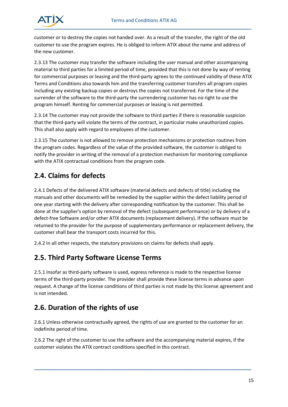

customer or to destroy the copies not handed over. As a result of the transfer, the right of the old customer to use the program expires. He is obliged to inform ATIX about the name and address of the new customer.

2.3.13 The customer may transfer the software including the user manual and other accompanying material to third parties for a limited period of time, provided that this is not done by way of renting for commercial purposes or leasing and the third-party agrees to the continued validity of these ATIX Terms and Conditions also towards him and the transferring customer transfers all program copies including any existing backup copies or destroys the copies not transferred. For the time of the surrender of the software to the third-party the surrendering customer has no right to use the program himself. Renting for commercial purposes or leasing is not permitted.

2.3.14 The customer may not provide the software to third parties if there is reasonable suspicion that the third-party will violate the terms of the contract, in particular make unauthorized copies. This shall also apply with regard to employees of the customer.

2.3.15 The customer is not allowed to remove protection mechanisms or protection routines from the program codes. Regardless of the value of the provided software, the customer is obliged to notify the provider in writing of the removal of a protection mechanism for monitoring compliance with the ATIX contractual conditions from the program code.

#### <span id="page-14-0"></span>**2.4. Claims for defects**

2.4.1 Defects of the delivered ATIX software (material defects and defects of title) including the manuals and other documents will be remedied by the supplier within the defect liability period of one year starting with the delivery after corresponding notification by the customer. This shall be done at the supplier's option by removal of the defect (subsequent performance) or by delivery of a defect-free Software and/or other ATIX documents (replacement delivery). If the software must be returned to the provider for the purpose of supplementary performance or replacement delivery, the customer shall bear the transport costs incurred for this.

2.4.2 In all other respects, the statutory provisions on claims for defects shall apply.

#### <span id="page-14-1"></span>**2.5. Third Party Software License Terms**

2.5.1 Insofar as third-party software is used, express reference is made to the respective license terms of the third-party provider. The provider shall provide these license terms in advance upon request. A change of the license conditions of third parties is not made by this license agreement and is not intended.

### <span id="page-14-2"></span>**2.6. Duration of the rights of use**

2.6.1 Unless otherwise contractually agreed, the rights of use are granted to the customer for an indefinite period of time.

2.6.2 The right of the customer to use the software and the accompanying material expires, if the customer violates the ATIX contract conditions specified in this contract.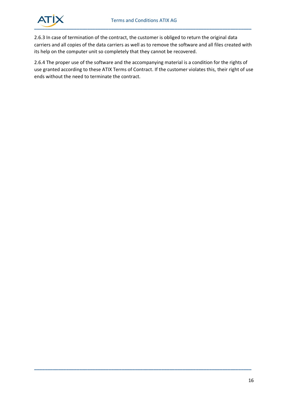

2.6.3 In case of termination of the contract, the customer is obliged to return the original data carriers and all copies of the data carriers as well as to remove the software and all files created with its help on the computer unit so completely that they cannot be recovered.

2.6.4 The proper use of the software and the accompanying material is a condition for the rights of use granted according to these ATIX Terms of Contract. If the customer violates this, their right of use ends without the need to terminate the contract.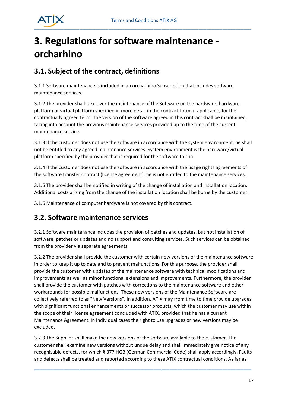

## <span id="page-16-0"></span>**3. Regulations for software maintenance orcharhino**

### <span id="page-16-1"></span>**3.1. Subject of the contract, definitions**

3.1.1 Software maintenance is included in an orcharhino Subscription that includes software maintenance services.

3.1.2 The provider shall take over the maintenance of the Software on the hardware, hardware platform or virtual platform specified in more detail in the contract form, if applicable, for the contractually agreed term. The version of the software agreed in this contract shall be maintained, taking into account the previous maintenance services provided up to the time of the current maintenance service.

3.1.3 If the customer does not use the software in accordance with the system environment, he shall not be entitled to any agreed maintenance services. System environment is the hardware/virtual platform specified by the provider that is required for the software to run.

3.1.4 If the customer does not use the software in accordance with the usage rights agreements of the software transfer contract (license agreement), he is not entitled to the maintenance services.

3.1.5 The provider shall be notified in writing of the change of installation and installation location. Additional costs arising from the change of the installation location shall be borne by the customer.

3.1.6 Maintenance of computer hardware is not covered by this contract.

#### <span id="page-16-2"></span>**3.2. Software maintenance services**

3.2.1 Software maintenance includes the provision of patches and updates, but not installation of software, patches or updates and no support and consulting services. Such services can be obtained from the provider via separate agreements.

3.2.2 The provider shall provide the customer with certain new versions of the maintenance software in order to keep it up to date and to prevent malfunctions. For this purpose, the provider shall provide the customer with updates of the maintenance software with technical modifications and improvements as well as minor functional extensions and improvements. Furthermore, the provider shall provide the customer with patches with corrections to the maintenance software and other workarounds for possible malfunctions. These new versions of the Maintenance Software are collectively referred to as "New Versions". In addition, ATIX may from time to time provide upgrades with significant functional enhancements or successor products, which the customer may use within the scope of their license agreement concluded with ATIX, provided that he has a current Maintenance Agreement. In individual cases the right to use upgrades or new versions may be excluded.

3.2.3 The Supplier shall make the new versions of the software available to the customer. The customer shall examine new versions without undue delay and shall immediately give notice of any recognisable defects, for which § 377 HGB (German Commercial Code) shall apply accordingly. Faults and defects shall be treated and reported according to these ATIX contractual conditions. As far as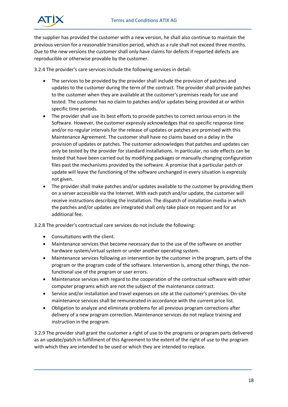

the supplier has provided the customer with a new version, he shall also continue to maintain the previous version for a reasonable transition period, which as a rule shall not exceed three months. Due to the new versions the customer shall only have claims for defects if reported defects are reproducible or otherwise provable by the customer.

3.2.4 The provider's care services include the following services in detail:

- The services to be provided by the provider shall include the provision of patches and updates to the customer during the term of the contract. The provider shall provide patches to the customer when they are available at the customer's premises ready for use and tested. The customer has no claim to patches and/or updates being provided at or within specific time periods.
- The provider shall use its best efforts to provide patches to correct serious errors in the Software. However, the customer expressly acknowledges that no specific response time and/or no regular intervals for the release of updates or patches are promised with this Maintenance Agreement. The customer shall have no claims based on a delay in the provision of updates or patches. The customer acknowledges that patches and updates can only be tested by the provider for standard installations. In particular, no side effects can be tested that have been carried out by modifying packages or manually changing configuration files past the mechanisms provided by the software. A promise that a particular patch or update will leave the functioning of the software unchanged in every situation is expressly not given.
- The provider shall make patches and/or updates available to the customer by providing them on a server accessible via the Internet. With each patch and/or update, the customer will receive instructions describing the installation. The dispatch of installation media in which the patches and/or updates are integrated shall only take place on request and for an additional fee.

3.2.8 The provider's contractual care services do not include the following:

- Consultations with the client.
- Maintenance services that become necessary due to the use of the software on another hardware system/virtual system or under another operating system.
- Maintenance services following an intervention by the customer in the program, parts of the program or the program code of the software. Intervention is, among other things, the nonfunctional use of the program or user errors.
- Maintenance services with regard to the cooperation of the contractual software with other computer programs which are not the subject of the maintenance contract.
- Service and/or installation and travel expenses on site at the customer's premises. On-site maintenance services shall be remunerated in accordance with the current price list.
- Obligation to analyze and eliminate problems for all previous program corrections after delivery of a new program correction. Maintenance services do not replace training and instruction in the program.

3.2.9 The provider shall grant the customer a right of use to the programs or program parts delivered as an update/patch in fulfillment of this Agreement to the extent of the right of use to the program with which they are intended to be used or which they are intended to replace.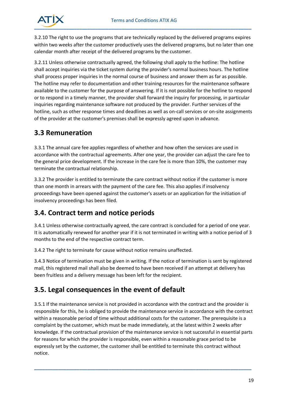

3.2.10 The right to use the programs that are technically replaced by the delivered programs expires within two weeks after the customer productively uses the delivered programs, but no later than one calendar month after receipt of the delivered programs by the customer.

3.2.11 Unless otherwise contractually agreed, the following shall apply to the hotline: The hotline shall accept inquiries via the ticket system during the provider's normal business hours. The hotline shall process proper inquiries in the normal course of business and answer them as far as possible. The hotline may refer to documentation and other training resources for the maintenance software available to the customer for the purpose of answering. If it is not possible for the hotline to respond or to respond in a timely manner, the provider shall forward the inquiry for processing, in particular inquiries regarding maintenance software not produced by the provider. Further services of the hotline, such as other response times and deadlines as well as on-call services or on-site assignments of the provider at the customer's premises shall be expressly agreed upon in advance.

#### **3.3 Remuneration**

3.3.1 The annual care fee applies regardless of whether and how often the services are used in accordance with the contractual agreements. After one year, the provider can adjust the care fee to the general price development. If the increase in the care fee is more than 10%, the customer may terminate the contractual relationship.

3.3.2 The provider is entitled to terminate the care contract without notice if the customer is more than one month in arrears with the payment of the care fee. This also applies if insolvency proceedings have been opened against the customer's assets or an application for the initiation of insolvency proceedings has been filed.

### **3.4. Contract term and notice periods**

3.4.1 Unless otherwise contractually agreed, the care contract is concluded for a period of one year. It is automatically renewed for another year if it is not terminated in writing with a notice period of 3 months to the end of the respective contract term.

3.4.2 The right to terminate for cause without notice remains unaffected.

3.4.3 Notice of termination must be given in writing. If the notice of termination is sent by registered mail, this registered mail shall also be deemed to have been received if an attempt at delivery has been fruitless and a delivery message has been left for the recipient.

### <span id="page-18-0"></span>**3.5. Legal consequences in the event of default**

3.5.1 If the maintenance service is not provided in accordance with the contract and the provider is responsible for this, he is obliged to provide the maintenance service in accordance with the contract within a reasonable period of time without additional costs for the customer. The prerequisite is a complaint by the customer, which must be made immediately, at the latest within 2 weeks after knowledge. If the contractual provision of the maintenance service is not successful in essential parts for reasons for which the provider is responsible, even within a reasonable grace period to be expressly set by the customer, the customer shall be entitled to terminate this contract without notice.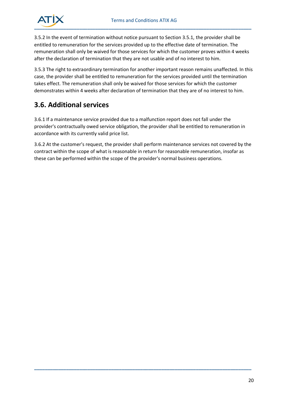

3.5.2 In the event of termination without notice pursuant to Section 3.5.1, the provider shall be entitled to remuneration for the services provided up to the effective date of termination. The remuneration shall only be waived for those services for which the customer proves within 4 weeks after the declaration of termination that they are not usable and of no interest to him.

3.5.3 The right to extraordinary termination for another important reason remains unaffected. In this case, the provider shall be entitled to remuneration for the services provided until the termination takes effect. The remuneration shall only be waived for those services for which the customer demonstrates within 4 weeks after declaration of termination that they are of no interest to him.

### <span id="page-19-0"></span>**3.6. Additional services**

3.6.1 If a maintenance service provided due to a malfunction report does not fall under the provider's contractually owed service obligation, the provider shall be entitled to remuneration in accordance with its currently valid price list.

3.6.2 At the customer's request, the provider shall perform maintenance services not covered by the contract within the scope of what is reasonable in return for reasonable remuneration, insofar as these can be performed within the scope of the provider's normal business operations.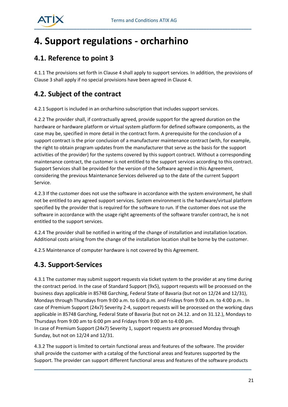

## <span id="page-20-0"></span>**4. Support regulations - orcharhino**

### <span id="page-20-1"></span>**4.1. Reference to point 3**

4.1.1 The provisions set forth in Clause 4 shall apply to support services. In addition, the provisions of Clause 3 shall apply if no special provisions have been agreed in Clause 4.

#### <span id="page-20-2"></span>**4.2. Subject of the contract**

4.2.1 Support is included in an orcharhino subscription that includes support services.

4.2.2 The provider shall, if contractually agreed, provide support for the agreed duration on the hardware or hardware platform or virtual system platform for defined software components, as the case may be, specified in more detail in the contract form. A prerequisite for the conclusion of a support contract is the prior conclusion of a manufacturer maintenance contract (with, for example, the right to obtain program updates from the manufacturer that serve as the basis for the support activities of the provider) for the systems covered by this support contract. Without a corresponding maintenance contract, the customer is not entitled to the support services according to this contract. Support Services shall be provided for the version of the Software agreed in this Agreement, considering the previous Maintenance Services delivered up to the date of the current Support Service.

4.2.3 If the customer does not use the software in accordance with the system environment, he shall not be entitled to any agreed support services. System environment is the hardware/virtual platform specified by the provider that is required for the software to run. If the customer does not use the software in accordance with the usage right agreements of the software transfer contract, he is not entitled to the support services.

4.2.4 The provider shall be notified in writing of the change of installation and installation location. Additional costs arising from the change of the installation location shall be borne by the customer.

4.2.5 Maintenance of computer hardware is not covered by this Agreement.

#### <span id="page-20-3"></span>**4.3. Support-Services**

Sunday, but not on 12/24 and 12/31.

4.3.1 The customer may submit support requests via ticket system to the provider at any time during the contract period. In the case of Standard Support (9x5), support requests will be processed on the business days applicable in 85748 Garching, Federal State of Bavaria (but not on 12/24 and 12/31), Mondays through Thursdays from 9:00 a.m. to 6:00 p.m. and Fridays from 9:00 a.m. to 4:00 p.m.. In case of Premium Support (24x7) Severity 2-4, support requests will be processed on the working days applicable in 85748 Garching, Federal State of Bavaria (but not on 24.12. and on 31.12.), Mondays to Thursdays from 9:00 am to 6:00 pm and Fridays from 9:00 am to 4:00 pm. In case of Premium Support (24x7) Severity 1, support requests are processed Monday through

4.3.2 The support is limited to certain functional areas and features of the software. The provider shall provide the customer with a catalog of the functional areas and features supported by the Support. The provider can support different functional areas and features of the software products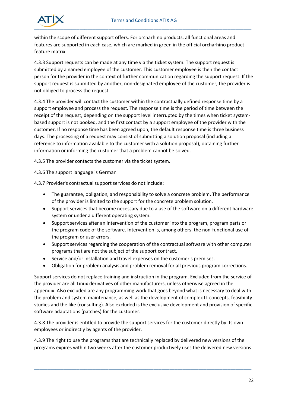

within the scope of different support offers. For orcharhino products, all functional areas and features are supported in each case, which are marked in green in the official orcharhino product feature matrix.

4.3.3 Support requests can be made at any time via the ticket system. The support request is submitted by a named employee of the customer. This customer employee is then the contact person for the provider in the context of further communication regarding the support request. If the support request is submitted by another, non-designated employee of the customer, the provider is not obliged to process the request.

4.3.4 The provider will contact the customer within the contractually defined response time by a support employee and process the request. The response time is the period of time between the receipt of the request, depending on the support level interrupted by the times when ticket systembased support is not booked, and the first contact by a support employee of the provider with the customer. If no response time has been agreed upon, the default response time is three business days. The processing of a request may consist of submitting a solution proposal (including a reference to information available to the customer with a solution proposal), obtaining further information or informing the customer that a problem cannot be solved.

4.3.5 The provider contacts the customer via the ticket system.

4.3.6 The support language is German.

4.3.7 Provider's contractual support services do not include:

- The guarantee, obligation, and responsibility to solve a concrete problem. The performance of the provider is limited to the support for the concrete problem solution.
- Support services that become necessary due to a use of the software on a different hardware system or under a different operating system.
- Support services after an intervention of the customer into the program, program parts or the program code of the software. Intervention is, among others, the non-functional use of the program or user errors.
- Support services regarding the cooperation of the contractual software with other computer programs that are not the subject of the support contract.
- Service and/or installation and travel expenses on the customer's premises.
- Obligation for problem analysis and problem removal for all previous program corrections.

Support services do not replace training and instruction in the program. Excluded from the service of the provider are all Linux derivatives of other manufacturers, unless otherwise agreed in the appendix. Also excluded are any programming work that goes beyond what is necessary to deal with the problem and system maintenance, as well as the development of complex IT concepts, feasibility studies and the like (consulting). Also excluded is the exclusive development and provision of specific software adaptations (patches) for the customer.

4.3.8 The provider is entitled to provide the support services for the customer directly by its own employees or indirectly by agents of the provider.

4.3.9 The right to use the programs that are technically replaced by delivered new versions of the programs expires within two weeks after the customer productively uses the delivered new versions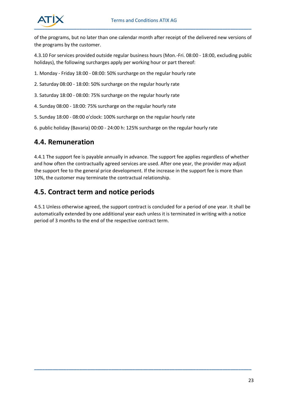

of the programs, but no later than one calendar month after receipt of the delivered new versions of the programs by the customer.

4.3.10 For services provided outside regular business hours (Mon.-Fri. 08:00 - 18:00, excluding public holidays), the following surcharges apply per working hour or part thereof:

- 1. Monday Friday 18:00 08:00: 50% surcharge on the regular hourly rate
- 2. Saturday 08:00 18:00: 50% surcharge on the regular hourly rate
- 3. Saturday 18:00 08:00: 75% surcharge on the regular hourly rate
- 4. Sunday 08:00 18:00: 75% surcharge on the regular hourly rate
- 5. Sunday 18:00 08:00 o'clock: 100% surcharge on the regular hourly rate
- 6. public holiday (Bavaria) 00:00 24:00 h: 125% surcharge on the regular hourly rate

#### <span id="page-22-0"></span>**4.4. Remuneration**

4.4.1 The support fee is payable annually in advance. The support fee applies regardless of whether and how often the contractually agreed services are used. After one year, the provider may adjust the support fee to the general price development. If the increase in the support fee is more than 10%, the customer may terminate the contractual relationship.

#### <span id="page-22-1"></span>**4.5. Contract term and notice periods**

4.5.1 Unless otherwise agreed, the support contract is concluded for a period of one year. It shall be automatically extended by one additional year each unless it is terminated in writing with a notice period of 3 months to the end of the respective contract term.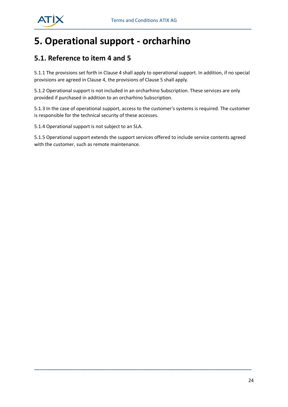

## <span id="page-23-0"></span>**5. Operational support - orcharhino**

#### <span id="page-23-1"></span>**5.1. Reference to item 4 and 5**

5.1.1 The provisions set forth in Clause 4 shall apply to operational support. In addition, if no special provisions are agreed in Clause 4, the provisions of Clause 5 shall apply.

5.1.2 Operational support is not included in an orcharhino Subscription. These services are only provided if purchased in addition to an orcharhino Subscription.

5.1.3 In the case of operational support, access to the customer's systems is required. The customer is responsible for the technical security of these accesses.

5.1.4 Operational support is not subject to an SLA.

5.1.5 Operational support extends the support services offered to include service contents agreed with the customer, such as remote maintenance.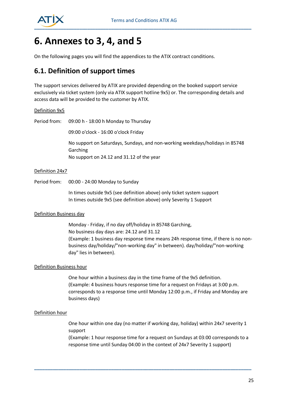

## <span id="page-24-0"></span>**6. Annexes to 3, 4, and 5**

On the following pages you will find the appendices to the ATIX contract conditions.

#### <span id="page-24-1"></span>**6.1. Definition of support times**

The support services delivered by ATIX are provided depending on the booked support service exclusively via ticket system (only via ATIX support hotline 9x5) or. The corresponding details and access data will be provided to the customer by ATIX.

#### Definition 9x5

Period from: 09:00 h - 18:00 h Monday to Thursday

09:00 o'clock - 16:00 o'clock Friday

No support on Saturdays, Sundays, and non-working weekdays/holidays in 85748 Garching

No support on 24.12 and 31.12 of the year

#### Definition 24x7

Period from: 00:00 - 24:00 Monday to Sunday

In times outside 9x5 (see definition above) only ticket system support In times outside 9x5 (see definition above) only Severity 1 Support

#### Definition Business day

Monday - Friday, if no day off/holiday in 85748 Garching, No business day days are: 24.12 and 31.12 (Example: 1 business day response time means 24h response time, if there is no nonbusiness day/holiday/"non-working day" in between). day/holiday/"non-working day" lies in between).

#### Definition Business hour

One hour within a business day in the time frame of the 9x5 definition. (Example: 4 business hours response time for a request on Fridays at 3:00 p.m. corresponds to a response time until Monday 12:00 p.m., if Friday and Monday are business days)

#### Definition hour

One hour within one day (no matter if working day, holiday) within 24x7 severity 1 support

(Example: 1 hour response time for a request on Sundays at 03:00 corresponds to a response time until Sunday 04:00 in the context of 24x7 Severity 1 support)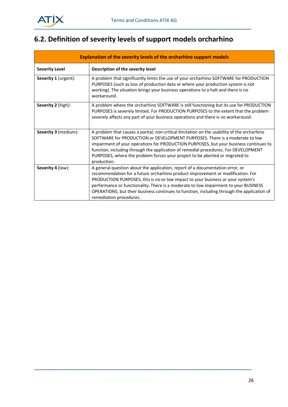

## <span id="page-25-0"></span>**6.2. Definition of severity levels of support models orcharhino**

| Explanation of the severity levels of the orcharhino support models |                                                                                                                                                                                                                                                                                                                                                                                                                                                                      |  |  |  |
|---------------------------------------------------------------------|----------------------------------------------------------------------------------------------------------------------------------------------------------------------------------------------------------------------------------------------------------------------------------------------------------------------------------------------------------------------------------------------------------------------------------------------------------------------|--|--|--|
| <b>Severity Level</b>                                               | Description of the severity level                                                                                                                                                                                                                                                                                                                                                                                                                                    |  |  |  |
| Severity 1 (urgent):                                                | A problem that significantly limits the use of your orcharhino SOFTWARE for PRODUCTION<br>PURPOSES (such as loss of production data or where your production system is not<br>working). The situation brings your business operations to a halt and there is no<br>workaround.                                                                                                                                                                                       |  |  |  |
| Severity 2 (high):                                                  | A problem where the orcharhino SOFTWARE is still functioning but its use for PRODUCTION<br>PURPOSES is severely limited. For PRODUCTION PURPOSES to the extent that the problem<br>severely affects any part of your business operations and there is no workaround.                                                                                                                                                                                                 |  |  |  |
| Severity 3 (medium):                                                | A problem that causes a partial, non-critical limitation on the usability of the orcharhino<br>SOFTWARE for PRODUCTION or DEVELOPMENT PURPOSES. There is a moderate to low<br>impairment of your operations for PRODUCTION PURPOSES, but your business continues to<br>function, including through the application of remedial procedures. For DEVELOPMENT<br>PURPOSES, where the problem forces your project to be aborted or migrated to<br>production.            |  |  |  |
| Severity 4 (low):                                                   | A general question about the application, report of a documentation error, or<br>recommendation for a future orcharhino product improvement or modification. For<br>PRODUCTION PURPOSES, this is no or low impact to your business or your system's<br>performance or functionality. There is a moderate to low impairment to your BUSINESS<br>OPERATIONS, but their business continues to function, including through the application of<br>remediation procedures. |  |  |  |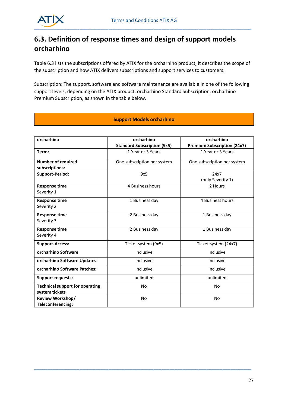

## <span id="page-26-0"></span>**6.3. Definition of response times and design of support models orcharhino**

Table 6.3 lists the subscriptions offered by ATIX for the orcharhino product, it describes the scope of the subscription and how ATIX delivers subscriptions and support services to customers.

Subscription: The support, software and software maintenance are available in one of the following support levels, depending on the ATIX product: orcharhino Standard Subscription, orcharhino Premium Subscription, as shown in the table below.

#### **Support Models orcharhino**

| orcharhino                                               | orcharhino                         | orcharhino                         |
|----------------------------------------------------------|------------------------------------|------------------------------------|
|                                                          | <b>Standard Subscription (9x5)</b> | <b>Premium Subscription (24x7)</b> |
| Term:                                                    | 1 Year or 3 Years                  | 1 Year or 3 Years                  |
| <b>Number of required</b>                                | One subscription per system        | One subscription per system        |
| subscriptions:                                           |                                    |                                    |
| <b>Support-Period:</b>                                   | 9x5                                | 24x7<br>(only Severity 1)          |
| <b>Response time</b><br>Severity 1                       | 4 Business hours                   | 2 Hours                            |
| <b>Response time</b><br>Severity 2                       | 1 Business day                     | 4 Business hours                   |
| <b>Response time</b><br>Severity 3                       | 2 Business day                     | 1 Business day                     |
| <b>Response time</b><br>Severity 4                       | 2 Business day                     | 1 Business day                     |
| <b>Support-Access:</b>                                   | Ticket system (9x5)                | Ticket system (24x7)               |
| orcharhino Software                                      | inclusive                          | inclusive                          |
| orcharhino Software Updates:                             | inclusive                          | inclusive                          |
| orcharhino Software Patches:                             | inclusive                          | inclusive                          |
| <b>Support requests:</b>                                 | unlimited                          | unlimited                          |
| <b>Technical support for operating</b><br>system tickets | No                                 | No                                 |
| <b>Review Workshop/</b><br>Teleconferencing:             | <b>No</b>                          | <b>No</b>                          |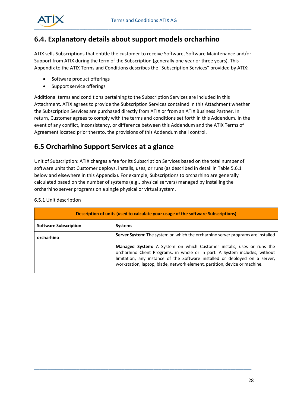

#### <span id="page-27-0"></span>**6.4. Explanatory details about support models orcharhino**

ATIX sells Subscriptions that entitle the customer to receive Software, Software Maintenance and/or Support from ATIX during the term of the Subscription (generally one year or three years). This Appendix to the ATIX Terms and Conditions describes the "Subscription Services" provided by ATIX:

- Software product offerings
- Support service offerings

Additional terms and conditions pertaining to the Subscription Services are included in this Attachment. ATIX agrees to provide the Subscription Services contained in this Attachment whether the Subscription Services are purchased directly from ATIX or from an ATIX Business Partner. In return, Customer agrees to comply with the terms and conditions set forth in this Addendum. In the event of any conflict, inconsistency, or difference between this Addendum and the ATIX Terms of Agreement located prior thereto, the provisions of this Addendum shall control.

#### <span id="page-27-1"></span>**6.5 Orcharhino Support Services at a glance**

Unit of Subscription: ATIX charges a fee for its Subscription Services based on the total number of software units that Customer deploys, installs, uses, or runs (as described in detail in Table 5.6.1 below and elsewhere in this Appendix). For example, Subscriptions to orcharhino are generally calculated based on the number of systems (e.g., physical servers) managed by installing the orcharhino server programs on a single physical or virtual system.

| Description of units (used to calculate your usage of the software Subscriptions) |                                                                                                                                                                                                                                                                                                                          |  |
|-----------------------------------------------------------------------------------|--------------------------------------------------------------------------------------------------------------------------------------------------------------------------------------------------------------------------------------------------------------------------------------------------------------------------|--|
| <b>Software Subscription</b>                                                      | <b>Systems</b>                                                                                                                                                                                                                                                                                                           |  |
| orcharhino                                                                        | <b>Server System:</b> The system on which the orcharhino server programs are installed                                                                                                                                                                                                                                   |  |
|                                                                                   | <b>Managed System:</b> A System on which Customer installs, uses or runs the<br>orcharhino Client Programs, in whole or in part. A System includes, without<br>limitation, any instance of the Software installed or deployed on a server,<br>workstation, laptop, blade, network element, partition, device or machine. |  |

**\_\_\_\_\_\_\_\_\_\_\_\_\_\_\_\_\_\_\_\_\_\_\_\_\_\_\_\_\_\_\_\_\_\_\_\_\_\_\_\_\_\_\_\_\_\_\_\_\_\_\_\_\_\_\_\_\_\_\_\_\_\_\_\_\_\_\_\_\_\_\_\_\_\_\_\_\_\_\_\_\_\_**

#### 6.5.1 Unit description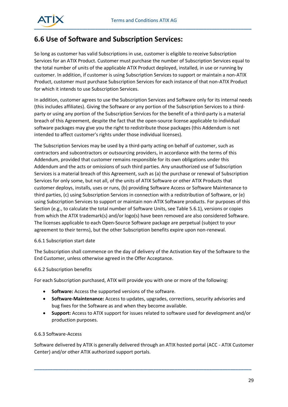

#### <span id="page-28-0"></span>**6.6 Use of Software and Subscription Services:**

So long as customer has valid Subscriptions in use, customer is eligible to receive Subscription Services for an ATIX Product. Customer must purchase the number of Subscription Services equal to the total number of units of the applicable ATIX Product deployed, installed, in use or running by customer. In addition, if customer is using Subscription Services to support or maintain a non-ATIX Product, customer must purchase Subscription Services for each instance of that non-ATIX Product for which it intends to use Subscription Services.

In addition, customer agrees to use the Subscription Services and Software only for its internal needs (this includes affiliates). Giving the Software or any portion of the Subscription Services to a thirdparty or using any portion of the Subscription Services for the benefit of a third-party is a material breach of this Agreement, despite the fact that the open-source license applicable to individual software packages may give you the right to redistribute those packages (this Addendum is not intended to affect customer's rights under those individual licenses).

The Subscription Services may be used by a third-party acting on behalf of customer, such as contractors and subcontractors or outsourcing providers, in accordance with the terms of this Addendum, provided that customer remains responsible for its own obligations under this Addendum and the acts or omissions of such third parties. Any unauthorized use of Subscription Services is a material breach of this Agreement, such as (a) the purchase or renewal of Subscription Services for only some, but not all, of the units of ATIX Software or other ATIX Products that customer deploys, installs, uses or runs, (b) providing Software Access or Software Maintenance to third parties, (c) using Subscription Services in connection with a redistribution of Software, or (e) using Subscription Services to support or maintain non-ATIX Software products. For purposes of this Section (e.g., to calculate the total number of Software Units, see Table 5.6.1), versions or copies from which the ATIX trademark(s) and/or logo(s) have been removed are also considered Software. The licenses applicable to each Open-Source Software package are perpetual (subject to your agreement to their terms), but the other Subscription benefits expire upon non-renewal.

#### 6.6.1 Subscription start date

The Subscription shall commence on the day of delivery of the Activation Key of the Software to the End Customer, unless otherwise agreed in the Offer Acceptance.

#### 6.6.2 Subscription benefits

For each Subscription purchased, ATIX will provide you with one or more of the following:

- **Software:** Access the supported versions of the software.
- **Software-Maintenance:** Access to updates, upgrades, corrections, security advisories and bug fixes for the Software as and when they become available.
- **Support:** Access to ATIX support for issues related to software used for development and/or production purposes.

#### 6.6.3 Software-Access

Software delivered by ATIX is generally delivered through an ATIX hosted portal (ACC - ATIX Customer Center) and/or other ATIX authorized support portals.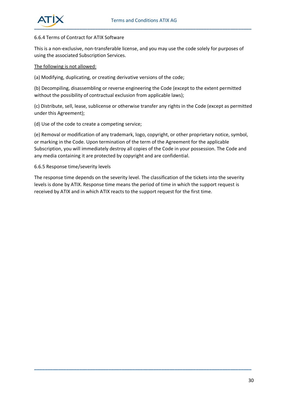

#### 6.6.4 Terms of Contract for ATIX Software

This is a non-exclusive, non-transferable license, and you may use the code solely for purposes of using the associated Subscription Services.

#### The following is not allowed:

(a) Modifying, duplicating, or creating derivative versions of the code;

(b) Decompiling, disassembling or reverse engineering the Code (except to the extent permitted without the possibility of contractual exclusion from applicable laws);

(c) Distribute, sell, lease, sublicense or otherwise transfer any rights in the Code (except as permitted under this Agreement);

(d) Use of the code to create a competing service;

(e) Removal or modification of any trademark, logo, copyright, or other proprietary notice, symbol, or marking in the Code. Upon termination of the term of the Agreement for the applicable Subscription, you will immediately destroy all copies of the Code in your possession. The Code and any media containing it are protected by copyright and are confidential.

#### 6.6.5 Response time/severity levels

The response time depends on the severity level. The classification of the tickets into the severity levels is done by ATIX. Response time means the period of time in which the support request is received by ATIX and in which ATIX reacts to the support request for the first time.